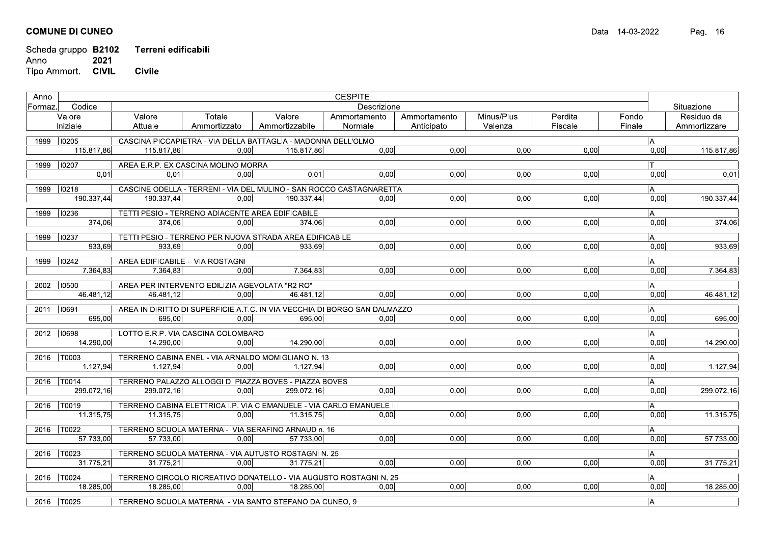|         | Scheda gruppo B2102<br>2021<br><b>CIVIL</b><br>Tipo Ammort. | Terreni edificabili<br><b>Civile</b>                                 |                        |                          |                                                                             |                            |                       |                    |                 |                            |
|---------|-------------------------------------------------------------|----------------------------------------------------------------------|------------------------|--------------------------|-----------------------------------------------------------------------------|----------------------------|-----------------------|--------------------|-----------------|----------------------------|
| Anno    | Codice                                                      |                                                                      |                        |                          | <b>CESPITE</b><br>Descrizione                                               |                            |                       |                    |                 | Situazione                 |
| Formaz. | Valore<br>Iniziale                                          | Valore<br>Attuale                                                    | Totale<br>Ammortizzato | Valore<br>Ammortizzabile | Ammortamento<br>Normale                                                     | Ammortamento<br>Anticipato | Minus/Plus<br>Valenza | Perdita<br>Fiscale | Fondo<br>Finale | Residuo da<br>Ammortizzare |
|         | 1999   10205                                                | CASCINA PICCAPIETRA - VIA DELLA BATTAGLIA - MADONNA DELL'OLMO        |                        |                          |                                                                             |                            |                       |                    | IА              |                            |
|         | 115.817,86                                                  | 115.817,86                                                           | 0,00                   | 115.817,86               | 0,00                                                                        | 0,00                       | 0,00                  | 0,00               | 0,00            | 115.817,86                 |
|         | 1999   10207                                                | AREA E.R.P. EX CASCINA MOLINO MORRA                                  |                        |                          |                                                                             |                            |                       |                    | Iт.             |                            |
|         | 0,01                                                        | 0,01                                                                 | 0,00                   | 0,01                     | 0,00                                                                        | 0,00                       | 0,00                  | 0,00               | 0,00            | 0,01                       |
|         | 1999   10218<br>190.337,44                                  | 190.337,44                                                           | 0,00                   | 190.337,44               | CASCINE ODELLA - TERRENI - VIA DEL MULINO - SAN ROCCO CASTAGNARETTA<br>0,00 | 0,00                       | 0,00                  | 0,00               | A <br>0,00      | 190.337,44                 |
|         |                                                             |                                                                      |                        |                          |                                                                             |                            |                       |                    |                 |                            |
|         | 1999   10236<br>374,06                                      | TETTI PESIO - TERRENO ADIACENTE AREA EDIFICABILE<br>374,06           | 0,00                   | 374.06                   | 0,00                                                                        | 0,00                       | 0.00                  | 0,00               | A<br>0,00       | 374,06                     |
|         | 1999   10237                                                | TETTI PESIO - TERRENO PER NUOVA STRADA AREA EDIFICABILE              |                        |                          |                                                                             |                            |                       |                    |                 |                            |
|         | 933,69                                                      | 933,69                                                               | 0,00                   | 933,69                   | 0,00                                                                        | 0,00                       | 0,00                  | 0,00               | A <br>0,00      | 933,69                     |
|         | 1999   10242                                                | AREA EDIFICABILE - VIA ROSTAGNI                                      |                        |                          |                                                                             |                            |                       |                    | A               |                            |
|         | 7.364,83                                                    | 7.364,83                                                             | 0,00                   | 7.364,83                 | 0,00                                                                        | 0,00                       | 0,00                  | 0,00               | 0,00            | 7.364,83                   |
|         | 2002 10500                                                  | AREA PER INTERVENTO EDILIZIA AGEVOLATA "R2 RO"                       |                        |                          |                                                                             |                            |                       |                    | A               |                            |
|         | 46.481,12                                                   | 46.481,12                                                            | 0.00                   | 46.481.12                | 0,00                                                                        | 0,00                       | 0,00                  | 0,00               | 0,00            | 46.481,12                  |
|         | 2011   10691                                                |                                                                      |                        |                          | AREA IN DIRITTO DI SUPERFICIE A.T.C. IN VIA VECCHIA DI BORGO SAN DALMAZZO   |                            |                       |                    | A               |                            |
|         | 695,00                                                      | 695,00                                                               | 0,00                   | 695,00                   | 0,00                                                                        | 0,00                       | 0,00                  | 0,00               | 0,00            | 695,00                     |
|         | 2012   10698                                                | LOTTO E.R.P. VIA CASCINA COLOMBARO                                   |                        |                          |                                                                             |                            |                       |                    | A               |                            |
|         | 14.290,00                                                   | 14.290,00                                                            | 0,00                   | 14.290,00                | 0,00                                                                        | 0.00                       | 0,00                  | 0.00               | 0,00            | 14.290,00                  |
|         | 2016   T0003<br>1.127,94                                    | TERRENO CABINA ENEL - VIA ARNALDO MOMIGLIANO N. 13<br>1.127,94       | 0,00                   | 1.127,94                 | 0,00                                                                        | 0,00                       | 0,00                  | 0,00               | A <br>0,00      | 1.127,94                   |
|         |                                                             |                                                                      |                        |                          |                                                                             |                            |                       |                    |                 |                            |
|         | 2016   T0014<br>299.072,16                                  | TERRENO PALAZZO ALLOGGI DI PIAZZA BOVES - PIAZZA BOVES<br>299.072.16 | 0,00                   | 299.072.16               | 0,00                                                                        | 0,00                       | 0,00                  | 0,00               | A  <br>0,00     | 299.072,16                 |
|         | 2016   T0019                                                |                                                                      |                        |                          | TERRENO CABINA ELETTRICA I.P. VIA C.EMANUELE - VIA CARLO EMANUELE III       |                            |                       |                    | A               |                            |
|         | 11.315,75                                                   | 11.315,75                                                            | 0,00                   | 11.315,75                | 0,00                                                                        | 0,00                       | 0,00                  | 0,00               | 0,00            | 11.315,75                  |
|         | 2016   T0022                                                | TERRENO SCUOLA MATERNA - VIA SERAFINO ARNAUD n. 16                   |                        |                          |                                                                             |                            |                       |                    | IA.             |                            |
|         | 57.733,00                                                   | 57.733,00                                                            | 0,00                   | 57.733,00                | 0,00                                                                        | 0,00                       | 0,00                  | 0,00               | 0,00            | 57.733,00                  |
|         | 2016   T0023                                                | TERRENO SCUOLA MATERNA - VIA AUTUSTO ROSTAGNI N. 25                  |                        |                          |                                                                             |                            |                       |                    | A               |                            |
|         | 31.775,21                                                   | 31.775,21                                                            | 0,00                   | 31.775,21                | 0,00                                                                        | 0,00                       | 0,00                  | 0,00               | 0,00            | 31.775,21                  |
|         | 2016   T0024                                                |                                                                      |                        |                          | TERRENO CIRCOLO RICREATIVO DONATELLO - VIA AUGUSTO ROSTAGNI N. 25           |                            |                       |                    | A               |                            |
|         | 18.285,00                                                   | 18.285,00                                                            | 0,00                   | 18.285,00                | 0,00                                                                        | 0,00                       | 0,00                  | 0,00               | 0,00            | 18.285,00                  |
|         | 2016   T0025                                                | TERRENO SCUOLA MATERNA - VIA SANTO STEFANO DA CUNEO, 9               |                        |                          |                                                                             |                            |                       |                    | A               |                            |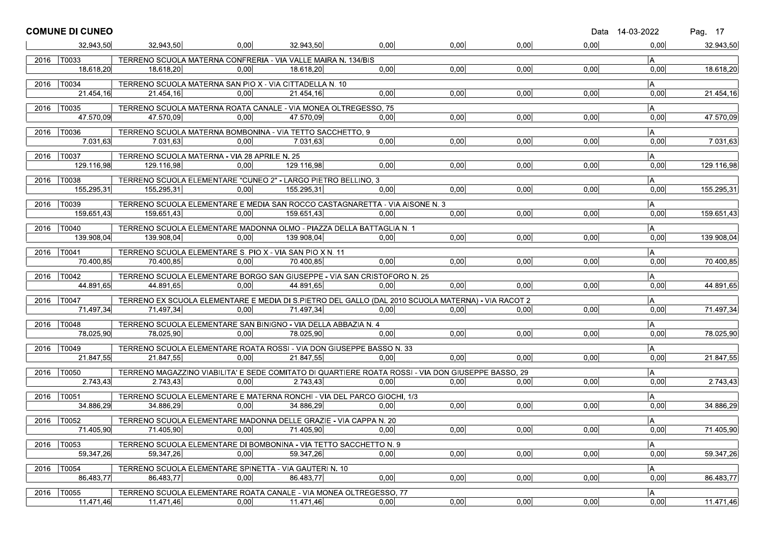|      | <b>COMUNE DI CUNEO</b> |                                                                                                    |      |            |                   |      |      | Data 14-03-2022    |                | Pag. 17    |
|------|------------------------|----------------------------------------------------------------------------------------------------|------|------------|-------------------|------|------|--------------------|----------------|------------|
|      | 32.943,50              | 32 943,50                                                                                          | 0.00 | 32.943.50  | 0,00              | 0,00 | 0,00 | 0,00               | 0.00           | 32.943,50  |
|      | 2016   T0033           | TERRENO SCUOLA MATERNA CONFRERIA - VIA VALLE MAIRA N. 134/BIS                                      |      |            |                   |      |      |                    | A              |            |
|      | 18.618.20              | 18.618,20                                                                                          | 0.00 | 18.618,20  | 0.00              | 0,00 | 0,00 | 0,00               | 0.00           | 18.618,20  |
| 2016 | T0034                  | TERRENO SCUOLA MATERNA SAN PIO X - VIA CITTADELLA N. 10                                            |      |            |                   |      |      |                    | A              |            |
|      | 21.454.16              | 21.454.16                                                                                          | 0.00 | 21.454,16  | 0.00              | 0,00 | 0,00 | 0,00               | 0,00           | 21.454,16  |
|      | 2016   T0035           | TERRENO SCUOLA MATERNA ROATA CANALE - VIA MONEA OLTREGESSO, 75                                     |      |            |                   |      |      |                    | A              |            |
|      | 47.570,09              | 47.570,09                                                                                          | 0.00 | 47.570.09  | 0.00              | 0,00 | 0,00 | 0,00               | 0,00           | 47.570,09  |
|      | 2016   T0036           | TERRENO SCUOLA MATERNA BOMBONINA - VIA TETTO SACCHETTO, 9                                          |      |            |                   |      |      |                    | $\overline{A}$ |            |
|      | 7.031.63               | 7.031.63                                                                                           | 0.00 | 7.031.63   | 0.00              | 0,00 | 0.00 | 0,00               | 0,00           | 7.031,63   |
| 2016 | T0037                  | TERRENO SCUOLA MATERNA - VIA 28 APRILE N. 25                                                       |      |            |                   |      |      |                    | A              |            |
|      | 129.116,98             | 129.116,98                                                                                         | 0.00 | 129.116,98 | 0,00              | 0,00 | 0,00 | 0,00               | 0,00           | 129.116,98 |
|      | 2016   T0038           | TERRENO SCUOLA ELEMENTARE "CUNEO 2" - LARGO PIETRO BELLINO, 3                                      |      |            |                   |      |      |                    | l A            |            |
|      | 155.295,31             | 155.295,31                                                                                         | 0.00 | 155.295.31 | 0.00              | 0,00 | 0.00 | 0,00               | 0,00           | 155.295,31 |
| 2016 | T0039                  | TERRENO SCUOLA ELEMENTARE E MEDIA SAN ROCCO CASTAGNARETTA - VIA AISONE N. 3                        |      |            |                   |      |      |                    | A              |            |
|      | 159.651,43             | 159.651,43                                                                                         | 0.00 | 159.651,43 | 0.00              | 0,00 | 0,00 | 0,00               | 0,00           | 159.651,43 |
|      | 2016   T0040           | TERRENO SCUOLA ELEMENTARE MADONNA OLMO - PIAZZA DELLA BATTAGLIA N. 1                               |      |            |                   |      |      |                    | $\overline{A}$ |            |
|      | 139.908,04             | 139.908.04                                                                                         | 0.00 | 139.908.04 | 0.00              | 0,00 | 0,00 | 0,00               | 0,00           | 139.908,04 |
| 2016 | T0041                  | TERRENO SCUOLA ELEMENTARE S. PIO X - VIA SAN PIO X N. 11                                           |      |            |                   |      |      |                    | A              |            |
|      | 70.400.85              | 70.400,85                                                                                          | 0.00 | 70.400.85  | 0.00              | 0.00 | 0.00 | 0.00               | 0,00           | 70.400,85  |
|      | 2016   T0042           | TERRENO SCUOLA ELEMENTARE BORGO SAN GIUSEPPE - VIA SAN CRISTOFORO N. 25                            |      |            |                   |      |      |                    | A              |            |
|      | 44.891,65              | 44.891,65                                                                                          | 0.00 | 44.891,65  | 0.00              | 0.00 | 0.00 | 0,00               | 0,00           | 44.891,65  |
|      | 2016   T0047           | TERRENO EX SCUOLA ELEMENTARE E MEDIA DI S.PIETRO DEL GALLO (DAL 2010 SCUOLA MATERNA) - VIA RACOT 2 |      |            |                   |      |      |                    |                |            |
|      | 71.497,34              | 71.497,34                                                                                          | 0.00 | 71.497,34  | 0,00              | 0.00 | 0,00 | 0,00               | A<br>0,00      | 71.497,34  |
|      |                        |                                                                                                    |      |            |                   |      |      |                    |                |            |
| 2016 | T0048<br>78.025.90     | TERRENO SCUOLA ELEMENTARE SAN BINIGNO - VIA DELLA ABBAZIA N. 4<br>78.025,90                        | 0.00 | 78.025.90  | 0.00 <sub>l</sub> | 0,00 | 0,00 | 0,00               | A.<br>0,00     | 78.025,90  |
|      |                        |                                                                                                    |      |            |                   |      |      |                    |                |            |
| 2016 | $ T0049\rangle$        | TERRENO SCUOLA ELEMENTARE ROATA ROSSI - VIA DON GIUSEPPE BASSO N. 33                               |      |            |                   |      |      |                    | A              |            |
|      | 21.847.55              | 21.847.55                                                                                          | 0.00 | 21.847.55  | 0.00              | 0,00 | 0.00 | 0,00               | 0.00           | 21.847,55  |
| 2016 | T0050                  | TERRENO MAGAZZINO VIABILITA' E SEDE COMITATO DI QUARTIERE ROATA ROSSI - VIA DON GIUSEPPE BASSO, 29 |      |            |                   |      |      |                    | A              |            |
|      | 2.743,43               | 2.743,43                                                                                           | 0,00 | 2.743,43   | 0,00              | 0,00 | 0,00 | $\vert 0,00 \vert$ | 0,00           | 2.743,43   |
|      | 2016   T0051           | TERRENO SCUOLA ELEMENTARE E MATERNA RONCHI - VIA DEL PARCO GIOCHI, 1/3                             |      |            |                   |      |      |                    | IA.            |            |
|      | 34.886.29              | 34.886,29                                                                                          | 0,00 | 34.886,29  | 0.00              | 0,00 | 0,00 | 0,00               | 0.00           | 34.886,29  |
| 2016 | $\overline{10052}$     | TERRENO SCUOLA ELEMENTARE MADONNA DELLE GRAZIE - VIA CAPPA N. 20                                   |      |            |                   |      |      |                    | A              |            |
|      | 71.405,90              | 71.405,90                                                                                          | 0.00 | 71.405.90  | 0,00              | 0.00 | 0.00 | 0,00               | 0.00           | 71.405,90  |
| 2016 | T0053                  | TERRENO SCUOLA ELEMENTARE DI BOMBONINA - VIA TETTO SACCHETTO N. 9                                  |      |            |                   |      |      |                    | A              |            |
|      | 59.347,26              | 59.347,26                                                                                          | 0,00 | 59.347,26  | 0,00              | 0,00 | 0,00 | 0,00               | 0,00           | 59.347,26  |
| 2016 | T0054                  | TERRENO SCUOLA ELEMENTARE SPINETTA - VIA GAUTERI N. 10                                             |      |            |                   |      |      |                    | A              |            |
|      | 86.483,77              | 86.483,77                                                                                          | 0,00 | 86.483,77  | 0,00              | 0,00 | 0,00 | 0,00               | 0,00           | 86.483.77  |
| 2016 | T0055                  | TERRENO SCUOLA ELEMENTARE ROATA CANALE - VIA MONEA OLTREGESSO, 77                                  |      |            |                   |      |      |                    | A              |            |
|      | 11.471,46              | 11.471,46                                                                                          | 0,00 | 11.471,46  | 0,00              | 0,00 | 0,00 | 0,00               | 0,00           | 11.471,46  |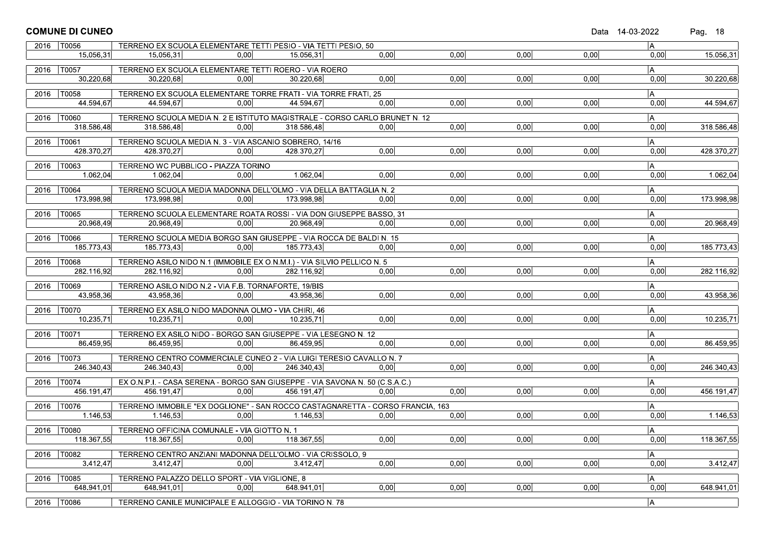|      | <b>COMUNE DI CUNEO</b>                 |                                                                                       |      |            |                                                                                       |      |      |      | Data 14-03-2022 | Pag. 18    |
|------|----------------------------------------|---------------------------------------------------------------------------------------|------|------------|---------------------------------------------------------------------------------------|------|------|------|-----------------|------------|
|      | 2016   T0056                           | TERRENO EX SCUOLA ELEMENTARE TETTI PESIO - VIA TETTI PESIO, 50                        |      |            |                                                                                       |      |      |      | A               |            |
|      | 15.056.31                              | 15.056.31                                                                             | 0.00 | 15.056.31  | 0.00                                                                                  | 0,00 | 0,00 | 0,00 | 0,00            | 15.056,31  |
|      | 2016   T0057                           | TERRENO EX SCUOLA ELEMENTARE TETTI ROERO - VIA ROERO                                  |      |            |                                                                                       |      |      |      | IA.             |            |
|      | 30.220,68                              | 30.220,68                                                                             | 0,00 | 30.220,68  | 0.00                                                                                  | 0.00 | 0.00 | 0.00 | 0.00            | 30.220,68  |
|      | 2016   T0058                           | TERRENO EX SCUOLA ELEMENTARE TORRE FRATI - VIA TORRE FRATI, 25                        |      |            |                                                                                       |      |      |      | A               |            |
|      | 44.594.67                              | 44.594,67                                                                             | 0.00 | 44.594,67  | 0.00 <sub>1</sub>                                                                     | 0,00 | 0,00 | 0,00 | 0,00            | 44.594,67  |
|      |                                        |                                                                                       |      |            |                                                                                       |      |      |      |                 |            |
| 2016 | T0060 <br>318.586.48                   | 318.586.48                                                                            | 0.00 | 318.586,48 | TERRENO SCUOLA MEDIA N. 2 E ISTITUTO MAGISTRALE - CORSO CARLO BRUNET N. 12<br>0.001   | 0,00 | 0,00 | 0,00 | IA.<br>0,00     | 318.586,48 |
|      |                                        |                                                                                       |      |            |                                                                                       |      |      |      |                 |            |
|      | 2016   T0061<br>428.370.27             | TERRENO SCUOLA MEDIA N. 3 - VIA ASCANIO SOBRERO, 14/16                                |      |            | 0.00                                                                                  | 0,00 |      |      | A               |            |
|      |                                        | 428.370,27                                                                            | 0.00 | 428.370.27 |                                                                                       |      | 0,00 | 0,00 | 0,00            | 428.370,27 |
| 2016 | T0063                                  | TERRENO WC PUBBLICO - PIAZZA TORINO                                                   |      |            |                                                                                       |      |      |      | A               |            |
|      | 1.062,04                               | 1.062,04                                                                              | 0,00 | 1.062,04   | 0,00                                                                                  | 0,00 | 0,00 | 0,00 | 0,00            | 1.062,04   |
|      | 2016   T0064                           | TERRENO SCUOLA MEDIA MADONNA DELL'OLMO - VIA DELLA BATTAGLIA N. 2                     |      |            |                                                                                       |      |      |      | $\overline{A}$  |            |
|      | 173.998.98                             | 173.998.98                                                                            | 0.00 | 173.998.98 | 0.00                                                                                  | 0,00 | 0.00 | 0,00 | 0,00            | 173.998,98 |
|      | 2016   T0065                           | TERRENO SCUOLA ELEMENTARE ROATA ROSSI - VIA DON GIUSEPPE BASSO, 31                    |      |            |                                                                                       |      |      |      | A               |            |
|      | 20.968,49                              | 20.968.49                                                                             | 0.00 | 20.968.49  | 0,00                                                                                  | 0,00 | 0.00 | 0,00 | 0,00            | 20.968,49  |
| 2016 | T0066                                  | TERRENO SCUOLA MEDIA BORGO SAN GIUSEPPE - VIA ROCCA DE BALDI N. 15                    |      |            |                                                                                       |      |      |      | IA.             |            |
|      | 185.773,43                             | 185.773,43                                                                            | 0,00 | 185.773,43 | 0.00                                                                                  | 0,00 | 0,00 | 0,00 | 0,00            | 185.773,43 |
|      |                                        |                                                                                       |      |            |                                                                                       |      |      |      |                 |            |
|      | 2016   T0068<br>282.116.92             | TERRENO ASILO NIDO N.1 (IMMOBILE EX O.N.M.I.) - VIA SILVIO PELLICO N. 5<br>282.116,92 | 0.00 | 282.116,92 | 0.00                                                                                  | 0,00 | 0,00 | 0,00 | IA.<br>0,00     | 282.116,92 |
|      |                                        |                                                                                       |      |            |                                                                                       |      |      |      |                 |            |
| 2016 | T0069                                  | TERRENO ASILO NIDO N.2 - VIA F.B. TORNAFORTE, 19/BIS                                  |      |            |                                                                                       |      |      |      | IA.             |            |
|      | 43.958,36                              | 43.958,36                                                                             | 0.00 | 43.958.36  | 0.00                                                                                  | 0,00 | 0.00 | 0.00 | 0,00            | 43.958,36  |
|      | 2016   T0070                           | TERRENO EX ASILO NIDO MADONNA OLMO - VIA CHIRI, 46                                    |      |            |                                                                                       |      |      |      | A               |            |
|      | 10.235,71                              | 10.235.71                                                                             | 0.00 | 10.235.71  | 0.00                                                                                  | 0,00 | 0,00 | 0,00 | 0,00            | 10.235,71  |
| 2016 | T0071                                  | TERRENO EX ASILO NIDO - BORGO SAN GIUSEPPE - VIA LESEGNO N. 12                        |      |            |                                                                                       |      |      |      | A               |            |
|      | 86.459.95                              | 86.459,95                                                                             | 0.00 | 86.459.95  | 0.00                                                                                  | 0,00 | 0.00 | 0.00 | 0.00            | 86.459,95  |
| 2016 | T0073                                  | TERRENO CENTRO COMMERCIALE CUNEO 2 - VIA LUIGI TERESIO CAVALLO N. 7                   |      |            |                                                                                       |      |      |      | A               |            |
|      | 246.340,43                             | 246.340,43                                                                            | 0,00 | 246.340.43 | 0,00                                                                                  | 0,00 | 0,00 | 0,00 | 0,00            | 246.340,43 |
|      | 2016   T0074                           | EX O.N.P.I. - CASA SERENA - BORGO SAN GIUSEPPE - VIA SAVONA N. 50 (C.S.A.C.)          |      |            |                                                                                       |      |      |      | IA.             |            |
|      | 456.191,47                             | 456.191,47                                                                            | 0,00 | 456.191,47 | 0.00                                                                                  | 0,00 | 0,00 | 0,00 | 0,00            | 456.191,47 |
|      |                                        |                                                                                       |      |            |                                                                                       |      |      |      |                 |            |
| 2016 | T0076 <br>1.146,53                     | 1.146,53                                                                              | 0.00 | 1.146.53   | TERRENO IMMOBILE "EX DOGLIONE" - SAN ROCCO CASTAGNARETTA - CORSO FRANCIA, 163<br>0.00 | 0.00 | 0.00 | 0.00 | A  <br>0,00     | 1.146,53   |
|      |                                        |                                                                                       |      |            |                                                                                       |      |      |      |                 |            |
|      | $\overline{2016}$   $\overline{10080}$ | TERRENO OFFICINA COMUNALE - VIA GIOTTO N. 1                                           |      |            |                                                                                       |      |      |      | $\overline{A}$  |            |
|      | 118.367,55                             | 118.367,55                                                                            | 0,00 | 118.367,55 | 0,00                                                                                  | 0,00 | 0,00 | 0,00 | 0,00            | 118.367,55 |
| 2016 | T0082                                  | TERRENO CENTRO ANZIANI MADONNA DELL'OLMO - VIA CRISSOLO, 9                            |      |            |                                                                                       |      |      |      | A               |            |
|      | 3.412,47                               | 3.412,47                                                                              | 0,00 | 3.412,47   | 0,00                                                                                  | 0,00 | 0,00 | 0,00 | 0,00            | 3.412,47   |
|      | 2016   T0085                           | TERRENO PALAZZO DELLO SPORT - VIA VIGLIONE, 8                                         |      |            |                                                                                       |      |      |      | A.              |            |
|      | 648.941,01                             | 648.941,01                                                                            | 0.00 | 648.941,01 | 0.00                                                                                  | 0,00 | 0,00 | 0,00 | 0,00            | 648.941,01 |
| 2016 | T0086                                  | TERRENO CANILE MUNICIPALE E ALLOGGIO - VIA TORINO N. 78                               |      |            |                                                                                       |      |      |      | A               |            |
|      |                                        |                                                                                       |      |            |                                                                                       |      |      |      |                 |            |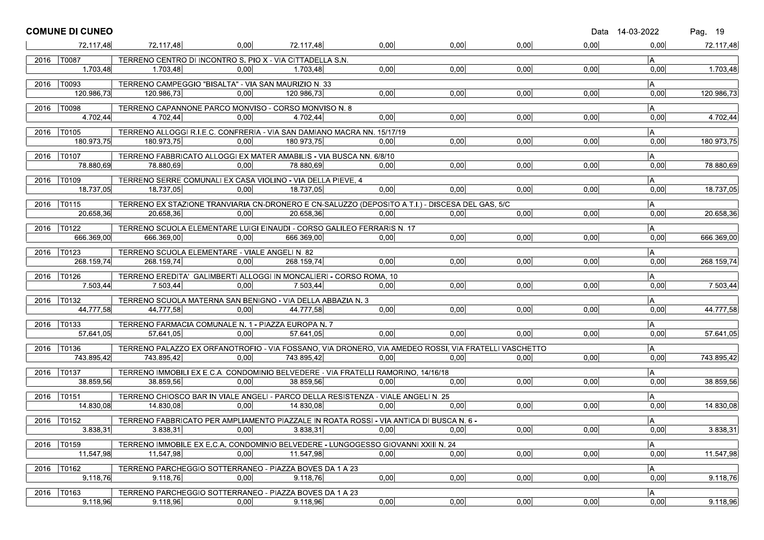| 0.00<br>0,00<br>0,00<br>0,00<br>72.117,48<br>72.117,48<br>72.117,48<br>0,00<br>0,00<br>2016   T0087<br>TERRENO CENTRO DI INCONTRO S. PIO X - VIA CITTADELLA S.N.<br>l A<br>1.703.48<br>0.00<br>0,00<br>0,00<br>0,00<br>0.00<br>1.703,48<br>1.703,48<br>0.00<br>1.703.48<br>2016<br> T0093 <br>TERRENO CAMPEGGIO "BISALTA" - VIA SAN MAURIZIO N. 33<br> A<br>0,00<br>0,00<br>120.986.73<br>120.986,73<br>0.00<br>0,00<br>0,00<br>0,00<br>120.986,73<br>120.986,73<br>2016   T0098<br>A<br>TERRENO CAPANNONE PARCO MONVISO - CORSO MONVISO N. 8<br>4.702,44<br>0,00<br>0,00<br>0,00<br>0,00<br>4.702,44<br>4.702,44<br>0.00<br>4.702,44<br>0,00<br> T0105 <br>TERRENO ALLOGGI R.I.E.C. CONFRERIA - VIA SAN DAMIANO MACRA NN. 15/17/19<br> A<br>2016<br>180.973.75<br>0,00<br>0.00<br>180.973,75<br>0.00<br>0.00<br>0,00<br>180.973.75<br>0.00<br>180.973.75<br>A.<br>2016   T0107<br>TERRENO FABBRICATO ALLOGGI EX MATER AMABILIS - VIA BUSCA NN. 6/8/10<br>78.880,69<br>0,00<br>0,00<br>78.880,69<br>0.00<br>78.880.69<br>0.00<br>0,00<br>0,00<br>78.880,69<br>2016   T0109<br>TERRENO SERRE COMUNALI EX CASA VIOLINO - VIA DELLA PIEVE, 4<br>A <br>0,00<br>0,00<br>0,00<br>18.737,05<br>18.737,05<br>0,00<br>0,00<br>18.737,05<br>18.737,05<br>0,00<br>T0115<br>IA.<br>TERRENO EX STAZIONE TRANVIARIA CN-DRONERO E CN-SALUZZO (DEPOSITO A.T.I.) - DISCESA DEL GAS, 5/C<br>2016<br>0.00<br>0,00<br>20.658,36<br>20.658,36<br>0.00<br>20.658.36<br>0.00<br>0,00<br>20.658,36<br>0.00<br> A<br>$ T0122\rangle$<br>2016<br>TERRENO SCUOLA ELEMENTARE LUIGI EINAUDI - CORSO GALILEO FERRARIS N. 17<br>0,00<br>666.369,00<br>0,00<br>0.00<br>0,00<br>666.369,00<br>0,00<br>666.369.00<br>666.369,00<br>0.00<br>TERRENO SCUOLA ELEMENTARE - VIALE ANGELI N. 82<br>A <br>$ T0123\rangle$<br>2016<br>0.00<br>0,00<br>0,00<br>268.159.74<br>268.159,74<br>0.00<br>0,00<br>0,00<br>268.159,74<br>268.159.74<br>2016   T0126<br>TERRENO EREDITA' GALIMBERTI ALLOGGI IN MONCALIERI - CORSO ROMA, 10<br>IA.<br>0,00<br>7.503,44<br>0.00<br>0,00<br>7.503,44<br>7.503,44<br>0.00<br>7.503,44<br>0.00<br>0.00<br>TERRENO SCUOLA MATERNA SAN BENIGNO - VIA DELLA ABBAZIA N. 3<br>2016   T0132<br>A<br>44.777,58<br>0,00<br>0,00<br>0,00<br>44.777,58<br>44.777,58<br>0.00<br>44.777,58<br>0.00<br>0,00<br>T0133<br>TERRENO FARMACIA COMUNALE N. 1 - PIAZZA EUROPA N. 7<br>l A<br>2016<br>0.00<br>0,00<br>0,00<br>57.641,05<br>0.00<br>57.641.05<br>0,00<br>57.641,05<br>0,00<br>57.641,05<br>2016   T0136<br>TERRENO PALAZZO EX ORFANOTROFIO - VIA FOSSANO, VIA DRONERO, VIA AMEDEO ROSSI, VIA FRATELLI VASCHETTO<br> A<br>743.895.42<br>743.895,42<br>0.00<br>0.00<br>743.895.42<br>0.00<br>0.00<br>0.00<br>0.00<br>743.895,42<br>TERRENO IMMOBILI EX E.C.A. CONDOMINIO BELVEDERE - VIA FRATELLI RAMORINO, 14/16/18<br>A <br>2016<br>T0137<br>0,00<br>38.859,56<br>0,00<br>0,00<br>0,00<br>38.859,56<br>38.859,56<br>0.00<br>38.859.56<br>0.00<br>2016   T0151<br>TERRENO CHIOSCO BAR IN VIALE ANGELI - PARCO DELLA RESISTENZA - VIALE ANGELI N. 25<br>A <br>14.830,08<br>0,00<br>0,00<br>0,00<br>0,00<br>14.830,08<br>0,00<br>14.830,08<br>0,00<br>14.830,08<br>TERRENO FABBRICATO PER AMPLIAMENTO PIAZZALE IN ROATA ROSSI - VIA ANTICA DI BUSCA N. 6 -<br>2016   T0152<br>A<br>0.00<br>0.00<br>0,00<br>3.838,31<br>3.838,31<br>0.00<br>0.00<br>0,00<br>3.838,31<br>3.838.31<br>A <br>T0159<br>TERRENO IMMOBILE EX E.C.A. CONDOMINIO BELVEDERE - LUNGOGESSO GIOVANNI XXIII N. 24<br>2016<br>11.547,98<br>0,00<br>0,00<br>0,00<br>0,00<br>0,00<br>11.547,98<br>0,00<br>11.547,98<br>T0162<br>TERRENO PARCHEGGIO SOTTERRANEO - PIAZZA BOVES DA 1 A 23<br> A<br>2016<br>0,00<br>9.118,76<br>0,00<br>0,00<br>0,00<br>0,00<br>0,00<br>9.118.76<br>9.118,76<br>T0163<br> A<br>2016<br>TERRENO PARCHEGGIO SOTTERRANEO - PIAZZA BOVES DA 1 A 23 | <b>COMUNE DI CUNEO</b> |  |  |  | Data 14-03-2022 | Pag. 19   |
|--------------------------------------------------------------------------------------------------------------------------------------------------------------------------------------------------------------------------------------------------------------------------------------------------------------------------------------------------------------------------------------------------------------------------------------------------------------------------------------------------------------------------------------------------------------------------------------------------------------------------------------------------------------------------------------------------------------------------------------------------------------------------------------------------------------------------------------------------------------------------------------------------------------------------------------------------------------------------------------------------------------------------------------------------------------------------------------------------------------------------------------------------------------------------------------------------------------------------------------------------------------------------------------------------------------------------------------------------------------------------------------------------------------------------------------------------------------------------------------------------------------------------------------------------------------------------------------------------------------------------------------------------------------------------------------------------------------------------------------------------------------------------------------------------------------------------------------------------------------------------------------------------------------------------------------------------------------------------------------------------------------------------------------------------------------------------------------------------------------------------------------------------------------------------------------------------------------------------------------------------------------------------------------------------------------------------------------------------------------------------------------------------------------------------------------------------------------------------------------------------------------------------------------------------------------------------------------------------------------------------------------------------------------------------------------------------------------------------------------------------------------------------------------------------------------------------------------------------------------------------------------------------------------------------------------------------------------------------------------------------------------------------------------------------------------------------------------------------------------------------------------------------------------------------------------------------------------------------------------------------------------------------------------------------------------------------------------------------------------------------------------------------------------------------------------------------------------------------------------------------------------------------------------------------------------------------------------------------------------------------------------------------------------------------------------------------------------------------------------------------------------------------------------------------------------------------|------------------------|--|--|--|-----------------|-----------|
| 11.547,98<br>9.118,76                                                                                                                                                                                                                                                                                                                                                                                                                                                                                                                                                                                                                                                                                                                                                                                                                                                                                                                                                                                                                                                                                                                                                                                                                                                                                                                                                                                                                                                                                                                                                                                                                                                                                                                                                                                                                                                                                                                                                                                                                                                                                                                                                                                                                                                                                                                                                                                                                                                                                                                                                                                                                                                                                                                                                                                                                                                                                                                                                                                                                                                                                                                                                                                                                                                                                                                                                                                                                                                                                                                                                                                                                                                                                                                                                                                                    |                        |  |  |  |                 | 72.117,48 |
|                                                                                                                                                                                                                                                                                                                                                                                                                                                                                                                                                                                                                                                                                                                                                                                                                                                                                                                                                                                                                                                                                                                                                                                                                                                                                                                                                                                                                                                                                                                                                                                                                                                                                                                                                                                                                                                                                                                                                                                                                                                                                                                                                                                                                                                                                                                                                                                                                                                                                                                                                                                                                                                                                                                                                                                                                                                                                                                                                                                                                                                                                                                                                                                                                                                                                                                                                                                                                                                                                                                                                                                                                                                                                                                                                                                                                          |                        |  |  |  |                 |           |
|                                                                                                                                                                                                                                                                                                                                                                                                                                                                                                                                                                                                                                                                                                                                                                                                                                                                                                                                                                                                                                                                                                                                                                                                                                                                                                                                                                                                                                                                                                                                                                                                                                                                                                                                                                                                                                                                                                                                                                                                                                                                                                                                                                                                                                                                                                                                                                                                                                                                                                                                                                                                                                                                                                                                                                                                                                                                                                                                                                                                                                                                                                                                                                                                                                                                                                                                                                                                                                                                                                                                                                                                                                                                                                                                                                                                                          |                        |  |  |  |                 |           |
|                                                                                                                                                                                                                                                                                                                                                                                                                                                                                                                                                                                                                                                                                                                                                                                                                                                                                                                                                                                                                                                                                                                                                                                                                                                                                                                                                                                                                                                                                                                                                                                                                                                                                                                                                                                                                                                                                                                                                                                                                                                                                                                                                                                                                                                                                                                                                                                                                                                                                                                                                                                                                                                                                                                                                                                                                                                                                                                                                                                                                                                                                                                                                                                                                                                                                                                                                                                                                                                                                                                                                                                                                                                                                                                                                                                                                          |                        |  |  |  |                 |           |
|                                                                                                                                                                                                                                                                                                                                                                                                                                                                                                                                                                                                                                                                                                                                                                                                                                                                                                                                                                                                                                                                                                                                                                                                                                                                                                                                                                                                                                                                                                                                                                                                                                                                                                                                                                                                                                                                                                                                                                                                                                                                                                                                                                                                                                                                                                                                                                                                                                                                                                                                                                                                                                                                                                                                                                                                                                                                                                                                                                                                                                                                                                                                                                                                                                                                                                                                                                                                                                                                                                                                                                                                                                                                                                                                                                                                                          |                        |  |  |  |                 |           |
|                                                                                                                                                                                                                                                                                                                                                                                                                                                                                                                                                                                                                                                                                                                                                                                                                                                                                                                                                                                                                                                                                                                                                                                                                                                                                                                                                                                                                                                                                                                                                                                                                                                                                                                                                                                                                                                                                                                                                                                                                                                                                                                                                                                                                                                                                                                                                                                                                                                                                                                                                                                                                                                                                                                                                                                                                                                                                                                                                                                                                                                                                                                                                                                                                                                                                                                                                                                                                                                                                                                                                                                                                                                                                                                                                                                                                          |                        |  |  |  |                 |           |
|                                                                                                                                                                                                                                                                                                                                                                                                                                                                                                                                                                                                                                                                                                                                                                                                                                                                                                                                                                                                                                                                                                                                                                                                                                                                                                                                                                                                                                                                                                                                                                                                                                                                                                                                                                                                                                                                                                                                                                                                                                                                                                                                                                                                                                                                                                                                                                                                                                                                                                                                                                                                                                                                                                                                                                                                                                                                                                                                                                                                                                                                                                                                                                                                                                                                                                                                                                                                                                                                                                                                                                                                                                                                                                                                                                                                                          |                        |  |  |  |                 |           |
|                                                                                                                                                                                                                                                                                                                                                                                                                                                                                                                                                                                                                                                                                                                                                                                                                                                                                                                                                                                                                                                                                                                                                                                                                                                                                                                                                                                                                                                                                                                                                                                                                                                                                                                                                                                                                                                                                                                                                                                                                                                                                                                                                                                                                                                                                                                                                                                                                                                                                                                                                                                                                                                                                                                                                                                                                                                                                                                                                                                                                                                                                                                                                                                                                                                                                                                                                                                                                                                                                                                                                                                                                                                                                                                                                                                                                          |                        |  |  |  |                 |           |
|                                                                                                                                                                                                                                                                                                                                                                                                                                                                                                                                                                                                                                                                                                                                                                                                                                                                                                                                                                                                                                                                                                                                                                                                                                                                                                                                                                                                                                                                                                                                                                                                                                                                                                                                                                                                                                                                                                                                                                                                                                                                                                                                                                                                                                                                                                                                                                                                                                                                                                                                                                                                                                                                                                                                                                                                                                                                                                                                                                                                                                                                                                                                                                                                                                                                                                                                                                                                                                                                                                                                                                                                                                                                                                                                                                                                                          |                        |  |  |  |                 |           |
|                                                                                                                                                                                                                                                                                                                                                                                                                                                                                                                                                                                                                                                                                                                                                                                                                                                                                                                                                                                                                                                                                                                                                                                                                                                                                                                                                                                                                                                                                                                                                                                                                                                                                                                                                                                                                                                                                                                                                                                                                                                                                                                                                                                                                                                                                                                                                                                                                                                                                                                                                                                                                                                                                                                                                                                                                                                                                                                                                                                                                                                                                                                                                                                                                                                                                                                                                                                                                                                                                                                                                                                                                                                                                                                                                                                                                          |                        |  |  |  |                 |           |
|                                                                                                                                                                                                                                                                                                                                                                                                                                                                                                                                                                                                                                                                                                                                                                                                                                                                                                                                                                                                                                                                                                                                                                                                                                                                                                                                                                                                                                                                                                                                                                                                                                                                                                                                                                                                                                                                                                                                                                                                                                                                                                                                                                                                                                                                                                                                                                                                                                                                                                                                                                                                                                                                                                                                                                                                                                                                                                                                                                                                                                                                                                                                                                                                                                                                                                                                                                                                                                                                                                                                                                                                                                                                                                                                                                                                                          |                        |  |  |  |                 |           |
|                                                                                                                                                                                                                                                                                                                                                                                                                                                                                                                                                                                                                                                                                                                                                                                                                                                                                                                                                                                                                                                                                                                                                                                                                                                                                                                                                                                                                                                                                                                                                                                                                                                                                                                                                                                                                                                                                                                                                                                                                                                                                                                                                                                                                                                                                                                                                                                                                                                                                                                                                                                                                                                                                                                                                                                                                                                                                                                                                                                                                                                                                                                                                                                                                                                                                                                                                                                                                                                                                                                                                                                                                                                                                                                                                                                                                          |                        |  |  |  |                 |           |
|                                                                                                                                                                                                                                                                                                                                                                                                                                                                                                                                                                                                                                                                                                                                                                                                                                                                                                                                                                                                                                                                                                                                                                                                                                                                                                                                                                                                                                                                                                                                                                                                                                                                                                                                                                                                                                                                                                                                                                                                                                                                                                                                                                                                                                                                                                                                                                                                                                                                                                                                                                                                                                                                                                                                                                                                                                                                                                                                                                                                                                                                                                                                                                                                                                                                                                                                                                                                                                                                                                                                                                                                                                                                                                                                                                                                                          |                        |  |  |  |                 |           |
|                                                                                                                                                                                                                                                                                                                                                                                                                                                                                                                                                                                                                                                                                                                                                                                                                                                                                                                                                                                                                                                                                                                                                                                                                                                                                                                                                                                                                                                                                                                                                                                                                                                                                                                                                                                                                                                                                                                                                                                                                                                                                                                                                                                                                                                                                                                                                                                                                                                                                                                                                                                                                                                                                                                                                                                                                                                                                                                                                                                                                                                                                                                                                                                                                                                                                                                                                                                                                                                                                                                                                                                                                                                                                                                                                                                                                          |                        |  |  |  |                 |           |
|                                                                                                                                                                                                                                                                                                                                                                                                                                                                                                                                                                                                                                                                                                                                                                                                                                                                                                                                                                                                                                                                                                                                                                                                                                                                                                                                                                                                                                                                                                                                                                                                                                                                                                                                                                                                                                                                                                                                                                                                                                                                                                                                                                                                                                                                                                                                                                                                                                                                                                                                                                                                                                                                                                                                                                                                                                                                                                                                                                                                                                                                                                                                                                                                                                                                                                                                                                                                                                                                                                                                                                                                                                                                                                                                                                                                                          |                        |  |  |  |                 |           |
|                                                                                                                                                                                                                                                                                                                                                                                                                                                                                                                                                                                                                                                                                                                                                                                                                                                                                                                                                                                                                                                                                                                                                                                                                                                                                                                                                                                                                                                                                                                                                                                                                                                                                                                                                                                                                                                                                                                                                                                                                                                                                                                                                                                                                                                                                                                                                                                                                                                                                                                                                                                                                                                                                                                                                                                                                                                                                                                                                                                                                                                                                                                                                                                                                                                                                                                                                                                                                                                                                                                                                                                                                                                                                                                                                                                                                          |                        |  |  |  |                 |           |
|                                                                                                                                                                                                                                                                                                                                                                                                                                                                                                                                                                                                                                                                                                                                                                                                                                                                                                                                                                                                                                                                                                                                                                                                                                                                                                                                                                                                                                                                                                                                                                                                                                                                                                                                                                                                                                                                                                                                                                                                                                                                                                                                                                                                                                                                                                                                                                                                                                                                                                                                                                                                                                                                                                                                                                                                                                                                                                                                                                                                                                                                                                                                                                                                                                                                                                                                                                                                                                                                                                                                                                                                                                                                                                                                                                                                                          |                        |  |  |  |                 |           |
|                                                                                                                                                                                                                                                                                                                                                                                                                                                                                                                                                                                                                                                                                                                                                                                                                                                                                                                                                                                                                                                                                                                                                                                                                                                                                                                                                                                                                                                                                                                                                                                                                                                                                                                                                                                                                                                                                                                                                                                                                                                                                                                                                                                                                                                                                                                                                                                                                                                                                                                                                                                                                                                                                                                                                                                                                                                                                                                                                                                                                                                                                                                                                                                                                                                                                                                                                                                                                                                                                                                                                                                                                                                                                                                                                                                                                          |                        |  |  |  |                 |           |
|                                                                                                                                                                                                                                                                                                                                                                                                                                                                                                                                                                                                                                                                                                                                                                                                                                                                                                                                                                                                                                                                                                                                                                                                                                                                                                                                                                                                                                                                                                                                                                                                                                                                                                                                                                                                                                                                                                                                                                                                                                                                                                                                                                                                                                                                                                                                                                                                                                                                                                                                                                                                                                                                                                                                                                                                                                                                                                                                                                                                                                                                                                                                                                                                                                                                                                                                                                                                                                                                                                                                                                                                                                                                                                                                                                                                                          |                        |  |  |  |                 |           |
|                                                                                                                                                                                                                                                                                                                                                                                                                                                                                                                                                                                                                                                                                                                                                                                                                                                                                                                                                                                                                                                                                                                                                                                                                                                                                                                                                                                                                                                                                                                                                                                                                                                                                                                                                                                                                                                                                                                                                                                                                                                                                                                                                                                                                                                                                                                                                                                                                                                                                                                                                                                                                                                                                                                                                                                                                                                                                                                                                                                                                                                                                                                                                                                                                                                                                                                                                                                                                                                                                                                                                                                                                                                                                                                                                                                                                          |                        |  |  |  |                 |           |
|                                                                                                                                                                                                                                                                                                                                                                                                                                                                                                                                                                                                                                                                                                                                                                                                                                                                                                                                                                                                                                                                                                                                                                                                                                                                                                                                                                                                                                                                                                                                                                                                                                                                                                                                                                                                                                                                                                                                                                                                                                                                                                                                                                                                                                                                                                                                                                                                                                                                                                                                                                                                                                                                                                                                                                                                                                                                                                                                                                                                                                                                                                                                                                                                                                                                                                                                                                                                                                                                                                                                                                                                                                                                                                                                                                                                                          |                        |  |  |  |                 |           |
|                                                                                                                                                                                                                                                                                                                                                                                                                                                                                                                                                                                                                                                                                                                                                                                                                                                                                                                                                                                                                                                                                                                                                                                                                                                                                                                                                                                                                                                                                                                                                                                                                                                                                                                                                                                                                                                                                                                                                                                                                                                                                                                                                                                                                                                                                                                                                                                                                                                                                                                                                                                                                                                                                                                                                                                                                                                                                                                                                                                                                                                                                                                                                                                                                                                                                                                                                                                                                                                                                                                                                                                                                                                                                                                                                                                                                          |                        |  |  |  |                 |           |
|                                                                                                                                                                                                                                                                                                                                                                                                                                                                                                                                                                                                                                                                                                                                                                                                                                                                                                                                                                                                                                                                                                                                                                                                                                                                                                                                                                                                                                                                                                                                                                                                                                                                                                                                                                                                                                                                                                                                                                                                                                                                                                                                                                                                                                                                                                                                                                                                                                                                                                                                                                                                                                                                                                                                                                                                                                                                                                                                                                                                                                                                                                                                                                                                                                                                                                                                                                                                                                                                                                                                                                                                                                                                                                                                                                                                                          |                        |  |  |  |                 |           |
|                                                                                                                                                                                                                                                                                                                                                                                                                                                                                                                                                                                                                                                                                                                                                                                                                                                                                                                                                                                                                                                                                                                                                                                                                                                                                                                                                                                                                                                                                                                                                                                                                                                                                                                                                                                                                                                                                                                                                                                                                                                                                                                                                                                                                                                                                                                                                                                                                                                                                                                                                                                                                                                                                                                                                                                                                                                                                                                                                                                                                                                                                                                                                                                                                                                                                                                                                                                                                                                                                                                                                                                                                                                                                                                                                                                                                          |                        |  |  |  |                 |           |
|                                                                                                                                                                                                                                                                                                                                                                                                                                                                                                                                                                                                                                                                                                                                                                                                                                                                                                                                                                                                                                                                                                                                                                                                                                                                                                                                                                                                                                                                                                                                                                                                                                                                                                                                                                                                                                                                                                                                                                                                                                                                                                                                                                                                                                                                                                                                                                                                                                                                                                                                                                                                                                                                                                                                                                                                                                                                                                                                                                                                                                                                                                                                                                                                                                                                                                                                                                                                                                                                                                                                                                                                                                                                                                                                                                                                                          |                        |  |  |  |                 |           |
|                                                                                                                                                                                                                                                                                                                                                                                                                                                                                                                                                                                                                                                                                                                                                                                                                                                                                                                                                                                                                                                                                                                                                                                                                                                                                                                                                                                                                                                                                                                                                                                                                                                                                                                                                                                                                                                                                                                                                                                                                                                                                                                                                                                                                                                                                                                                                                                                                                                                                                                                                                                                                                                                                                                                                                                                                                                                                                                                                                                                                                                                                                                                                                                                                                                                                                                                                                                                                                                                                                                                                                                                                                                                                                                                                                                                                          |                        |  |  |  |                 |           |
|                                                                                                                                                                                                                                                                                                                                                                                                                                                                                                                                                                                                                                                                                                                                                                                                                                                                                                                                                                                                                                                                                                                                                                                                                                                                                                                                                                                                                                                                                                                                                                                                                                                                                                                                                                                                                                                                                                                                                                                                                                                                                                                                                                                                                                                                                                                                                                                                                                                                                                                                                                                                                                                                                                                                                                                                                                                                                                                                                                                                                                                                                                                                                                                                                                                                                                                                                                                                                                                                                                                                                                                                                                                                                                                                                                                                                          |                        |  |  |  |                 |           |
|                                                                                                                                                                                                                                                                                                                                                                                                                                                                                                                                                                                                                                                                                                                                                                                                                                                                                                                                                                                                                                                                                                                                                                                                                                                                                                                                                                                                                                                                                                                                                                                                                                                                                                                                                                                                                                                                                                                                                                                                                                                                                                                                                                                                                                                                                                                                                                                                                                                                                                                                                                                                                                                                                                                                                                                                                                                                                                                                                                                                                                                                                                                                                                                                                                                                                                                                                                                                                                                                                                                                                                                                                                                                                                                                                                                                                          |                        |  |  |  |                 |           |
|                                                                                                                                                                                                                                                                                                                                                                                                                                                                                                                                                                                                                                                                                                                                                                                                                                                                                                                                                                                                                                                                                                                                                                                                                                                                                                                                                                                                                                                                                                                                                                                                                                                                                                                                                                                                                                                                                                                                                                                                                                                                                                                                                                                                                                                                                                                                                                                                                                                                                                                                                                                                                                                                                                                                                                                                                                                                                                                                                                                                                                                                                                                                                                                                                                                                                                                                                                                                                                                                                                                                                                                                                                                                                                                                                                                                                          |                        |  |  |  |                 |           |
|                                                                                                                                                                                                                                                                                                                                                                                                                                                                                                                                                                                                                                                                                                                                                                                                                                                                                                                                                                                                                                                                                                                                                                                                                                                                                                                                                                                                                                                                                                                                                                                                                                                                                                                                                                                                                                                                                                                                                                                                                                                                                                                                                                                                                                                                                                                                                                                                                                                                                                                                                                                                                                                                                                                                                                                                                                                                                                                                                                                                                                                                                                                                                                                                                                                                                                                                                                                                                                                                                                                                                                                                                                                                                                                                                                                                                          |                        |  |  |  |                 |           |
|                                                                                                                                                                                                                                                                                                                                                                                                                                                                                                                                                                                                                                                                                                                                                                                                                                                                                                                                                                                                                                                                                                                                                                                                                                                                                                                                                                                                                                                                                                                                                                                                                                                                                                                                                                                                                                                                                                                                                                                                                                                                                                                                                                                                                                                                                                                                                                                                                                                                                                                                                                                                                                                                                                                                                                                                                                                                                                                                                                                                                                                                                                                                                                                                                                                                                                                                                                                                                                                                                                                                                                                                                                                                                                                                                                                                                          |                        |  |  |  |                 |           |
|                                                                                                                                                                                                                                                                                                                                                                                                                                                                                                                                                                                                                                                                                                                                                                                                                                                                                                                                                                                                                                                                                                                                                                                                                                                                                                                                                                                                                                                                                                                                                                                                                                                                                                                                                                                                                                                                                                                                                                                                                                                                                                                                                                                                                                                                                                                                                                                                                                                                                                                                                                                                                                                                                                                                                                                                                                                                                                                                                                                                                                                                                                                                                                                                                                                                                                                                                                                                                                                                                                                                                                                                                                                                                                                                                                                                                          |                        |  |  |  |                 |           |
|                                                                                                                                                                                                                                                                                                                                                                                                                                                                                                                                                                                                                                                                                                                                                                                                                                                                                                                                                                                                                                                                                                                                                                                                                                                                                                                                                                                                                                                                                                                                                                                                                                                                                                                                                                                                                                                                                                                                                                                                                                                                                                                                                                                                                                                                                                                                                                                                                                                                                                                                                                                                                                                                                                                                                                                                                                                                                                                                                                                                                                                                                                                                                                                                                                                                                                                                                                                                                                                                                                                                                                                                                                                                                                                                                                                                                          |                        |  |  |  |                 |           |
|                                                                                                                                                                                                                                                                                                                                                                                                                                                                                                                                                                                                                                                                                                                                                                                                                                                                                                                                                                                                                                                                                                                                                                                                                                                                                                                                                                                                                                                                                                                                                                                                                                                                                                                                                                                                                                                                                                                                                                                                                                                                                                                                                                                                                                                                                                                                                                                                                                                                                                                                                                                                                                                                                                                                                                                                                                                                                                                                                                                                                                                                                                                                                                                                                                                                                                                                                                                                                                                                                                                                                                                                                                                                                                                                                                                                                          |                        |  |  |  |                 |           |
|                                                                                                                                                                                                                                                                                                                                                                                                                                                                                                                                                                                                                                                                                                                                                                                                                                                                                                                                                                                                                                                                                                                                                                                                                                                                                                                                                                                                                                                                                                                                                                                                                                                                                                                                                                                                                                                                                                                                                                                                                                                                                                                                                                                                                                                                                                                                                                                                                                                                                                                                                                                                                                                                                                                                                                                                                                                                                                                                                                                                                                                                                                                                                                                                                                                                                                                                                                                                                                                                                                                                                                                                                                                                                                                                                                                                                          |                        |  |  |  |                 |           |
|                                                                                                                                                                                                                                                                                                                                                                                                                                                                                                                                                                                                                                                                                                                                                                                                                                                                                                                                                                                                                                                                                                                                                                                                                                                                                                                                                                                                                                                                                                                                                                                                                                                                                                                                                                                                                                                                                                                                                                                                                                                                                                                                                                                                                                                                                                                                                                                                                                                                                                                                                                                                                                                                                                                                                                                                                                                                                                                                                                                                                                                                                                                                                                                                                                                                                                                                                                                                                                                                                                                                                                                                                                                                                                                                                                                                                          |                        |  |  |  |                 |           |
|                                                                                                                                                                                                                                                                                                                                                                                                                                                                                                                                                                                                                                                                                                                                                                                                                                                                                                                                                                                                                                                                                                                                                                                                                                                                                                                                                                                                                                                                                                                                                                                                                                                                                                                                                                                                                                                                                                                                                                                                                                                                                                                                                                                                                                                                                                                                                                                                                                                                                                                                                                                                                                                                                                                                                                                                                                                                                                                                                                                                                                                                                                                                                                                                                                                                                                                                                                                                                                                                                                                                                                                                                                                                                                                                                                                                                          |                        |  |  |  |                 |           |
|                                                                                                                                                                                                                                                                                                                                                                                                                                                                                                                                                                                                                                                                                                                                                                                                                                                                                                                                                                                                                                                                                                                                                                                                                                                                                                                                                                                                                                                                                                                                                                                                                                                                                                                                                                                                                                                                                                                                                                                                                                                                                                                                                                                                                                                                                                                                                                                                                                                                                                                                                                                                                                                                                                                                                                                                                                                                                                                                                                                                                                                                                                                                                                                                                                                                                                                                                                                                                                                                                                                                                                                                                                                                                                                                                                                                                          |                        |  |  |  |                 |           |
|                                                                                                                                                                                                                                                                                                                                                                                                                                                                                                                                                                                                                                                                                                                                                                                                                                                                                                                                                                                                                                                                                                                                                                                                                                                                                                                                                                                                                                                                                                                                                                                                                                                                                                                                                                                                                                                                                                                                                                                                                                                                                                                                                                                                                                                                                                                                                                                                                                                                                                                                                                                                                                                                                                                                                                                                                                                                                                                                                                                                                                                                                                                                                                                                                                                                                                                                                                                                                                                                                                                                                                                                                                                                                                                                                                                                                          |                        |  |  |  |                 |           |
| 9.118,96<br>0,00<br>0,00<br>0,00<br>0,00<br>9.118,96<br>9.118,96<br>0,00<br>9.118,96<br>0,00                                                                                                                                                                                                                                                                                                                                                                                                                                                                                                                                                                                                                                                                                                                                                                                                                                                                                                                                                                                                                                                                                                                                                                                                                                                                                                                                                                                                                                                                                                                                                                                                                                                                                                                                                                                                                                                                                                                                                                                                                                                                                                                                                                                                                                                                                                                                                                                                                                                                                                                                                                                                                                                                                                                                                                                                                                                                                                                                                                                                                                                                                                                                                                                                                                                                                                                                                                                                                                                                                                                                                                                                                                                                                                                             |                        |  |  |  |                 |           |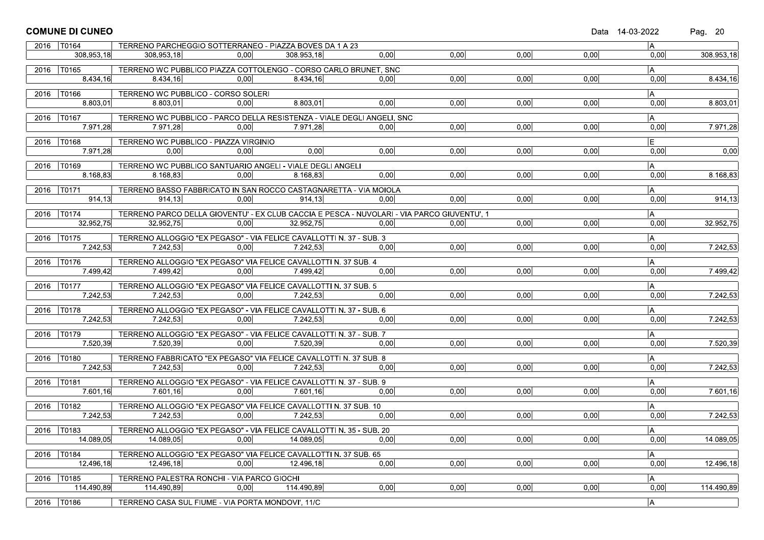|      | <b>COMUNE DI CUNEO</b>   |                                                                                 |      |                 |                                                                                            |                   |      |      | Data 14-03-2022 | Pag. 20    |
|------|--------------------------|---------------------------------------------------------------------------------|------|-----------------|--------------------------------------------------------------------------------------------|-------------------|------|------|-----------------|------------|
|      | 2016   T0164             | TERRENO PARCHEGGIO SOTTERRANEO - PIAZZA BOVES DA 1 A 23                         |      |                 |                                                                                            |                   |      |      | A               |            |
|      | 308.953,18               | 308.953.18                                                                      | 0,00 | 308.953,18      | 0,00                                                                                       | 0,00              | 0,00 | 0,00 | 0.00            | 308.953,18 |
|      |                          |                                                                                 |      |                 |                                                                                            |                   |      |      |                 |            |
|      | 2016 T0165               | TERRENO WC PUBBLICO PIAZZA COTTOLENGO - CORSO CARLO BRUNET, SNC                 |      |                 |                                                                                            |                   |      |      | IA.             |            |
|      | 8.434,16                 | 8.434,16                                                                        | 0,00 | 8.434,16        | 0.00                                                                                       | 0,00              | 0,00 | 0,00 | 0,00            | 8.434,16   |
|      | 2016 T0166               | TERRENO WC PUBBLICO - CORSO SOLERI                                              |      |                 |                                                                                            |                   |      |      | A               |            |
|      | 8.803,01                 | 8.803,01                                                                        | 0.00 | 8.803,01        | 0,00                                                                                       | 0,00              | 0,00 | 0,00 | 0,00            | 8.803,01   |
|      |                          |                                                                                 |      |                 |                                                                                            |                   |      |      |                 |            |
|      | 2016   T0167<br>7.971,28 | TERRENO WC PUBBLICO - PARCO DELLA RESISTENZA - VIALE DEGLI ANGELI, SNC          | 0.00 | 7.971,28        | 0.00                                                                                       | 0,00              | 0,00 | 0,00 | A <br>0,00      | 7.971,28   |
|      |                          | 7.971,28                                                                        |      |                 |                                                                                            |                   |      |      |                 |            |
|      | 2016   T0168             | TERRENO WC PUBBLICO - PIAZZA VIRGINIO                                           |      |                 |                                                                                            |                   |      |      | E               |            |
|      | 7.971,28                 | 0.00                                                                            | 0.00 | 0,00            | 0,00                                                                                       | 0,00              | 0.00 | 0,00 | 0.00            | 0,00       |
|      | 2016 T0169               | TERRENO WC PUBBLICO SANTUARIO ANGELI - VIALE DEGLI ANGELI                       |      |                 |                                                                                            |                   |      |      | A               |            |
|      | 8.168,83                 | 8.168,83                                                                        | 0,00 | 8.168.83        | 0.00                                                                                       | 0,00              | 0,00 | 0,00 | 0,00            | 8.168,83   |
|      |                          |                                                                                 |      |                 |                                                                                            |                   |      |      |                 |            |
|      | 2016 T0171               | TERRENO BASSO FABBRICATO IN SAN ROCCO CASTAGNARETTA - VIA MOIOLA                |      |                 |                                                                                            |                   |      |      | A               |            |
|      | 914.13                   | 914.13                                                                          | 0.00 | 914.13          | 0.00                                                                                       | 0,00              | 0.00 | 0,00 | 0,00            | 914,13     |
|      | 2016 T0174               |                                                                                 |      |                 | TERRENO PARCO DELLA GIOVENTU' - EX CLUB CACCIA E PESCA - NUVOLARI - VIA PARCO GIUVENTU', 1 |                   |      |      | A               |            |
|      | 32.952,75                | 32.952,75                                                                       | 0.00 | 32.952,75       | 0.00                                                                                       | 0,00              | 0,00 | 0,00 | 0,00            | 32.952,75  |
|      |                          |                                                                                 |      |                 |                                                                                            |                   |      |      |                 |            |
|      | 2016   T0175             | TERRENO ALLOGGIO "EX PEGASO" - VIA FELICE CAVALLOTTI N. 37 - SUB. 3             |      |                 |                                                                                            |                   |      |      | A               |            |
|      |                          | $7.242,53$ $7.242,53$                                                           |      | $0,00$ 7.242,53 | 0,00                                                                                       | $\overline{0,00}$ | 0,00 | 0,00 | 0,00            | 7.242,53   |
|      | 2016   T0176             | TERRENO ALLOGGIO "EX PEGASO" VIA FELICE CAVALLOTTI N. 37 SUB. 4                 |      |                 |                                                                                            |                   |      |      | A               |            |
|      | 7.499,42                 | $7.499,42$ $0,00$ $7.499,42$                                                    |      |                 | 0,00                                                                                       | 0,00              | 0,00 | 0,00 | 0.00            | 7.499,42   |
|      |                          |                                                                                 |      |                 |                                                                                            |                   |      |      |                 |            |
|      | 2016 T0177               | TERRENO ALLOGGIO "EX PEGASO" VIA FELICE CAVALLOTTI N. 37 SUB. 5                 |      |                 |                                                                                            |                   |      |      | IA.             |            |
|      | 7.242,53                 | $7.242,53$ $0,00$ $7.242,53$                                                    |      |                 | 0,00                                                                                       | 0,00              | 0,00 | 0,00 | 0,00            | 7.242,53   |
|      | 2016   T0178             | TERRENO ALLOGGIO "EX PEGASO" - VIA FELICE CAVALLOTTI N. 37 - SUB. 6             |      |                 |                                                                                            |                   |      |      | A.              |            |
|      | 7.242,53                 | 7.242,53                                                                        | 0,00 | 7.242,53        | 0.00                                                                                       | $\overline{0,00}$ | 0,00 | 0,00 | 0,00            | 7.242,53   |
|      |                          |                                                                                 |      |                 |                                                                                            |                   |      |      |                 |            |
|      | 2016   T0179<br>7.520,39 | TERRENO ALLOGGIO "EX PEGASO" - VIA FELICE CAVALLOTTI N. 37 - SUB. 7<br>7.520,39 | 0.00 | 7.520.39        | 0.00                                                                                       | 0.00              | 0.00 | 0,00 | A <br>0,00      | 7.520,39   |
|      |                          |                                                                                 |      |                 |                                                                                            |                   |      |      |                 |            |
|      | 2016   T0180             | TERRENO FABBRICATO "EX PEGASO" VIA FELICE CAVALLOTTI N. 37 SUB. 8               |      |                 |                                                                                            |                   |      |      | A               |            |
|      | 7.242,53                 | 7.242,53                                                                        |      | $0,00$ 7.242,53 | 0,00                                                                                       | 0,00              | 0,00 | 0,00 | 0,00            | 7.242,53   |
|      | 2016   T0181             | TERRENO ALLOGGIO "EX PEGASO" - VIA FELICE CAVALLOTTI N. 37 - SUB. 9             |      |                 |                                                                                            |                   |      |      | IA.             |            |
|      | 7.601,16                 | $7.601,16$ 0,00 $7.601,16$                                                      |      |                 | 0.00                                                                                       | $\overline{0,00}$ | 0,00 | 0,00 | 0,00            | 7.601,16   |
|      |                          |                                                                                 |      |                 |                                                                                            |                   |      |      |                 |            |
|      | 2016   T0182             | TERRENO ALLOGGIO "EX PEGASO" VIA FELICE CAVALLOTTI N. 37 SUB. 10                |      |                 |                                                                                            |                   |      |      | A               |            |
|      | 7.242,53                 | 7.242,53                                                                        | 0.00 | 7.242.53        | 0.00                                                                                       | 0,00              | 0,00 | 0,00 | 0.00            | 7.242,53   |
|      | 2016   T0183             | TERRENO ALLOGGIO "EX PEGASO" - VIA FELICE CAVALLOTTI N. 35 - SUB. 20            |      |                 |                                                                                            |                   |      |      | A               |            |
|      | 14.089,05                | 14.089,05                                                                       | 0,00 | 14.089,05       | 0,00                                                                                       | 0,00              | 0,00 | 0,00 | 0,00            | 14.089,05  |
|      |                          |                                                                                 |      |                 |                                                                                            |                   |      |      |                 |            |
| 2016 | T0184                    | TERRENO ALLOGGIO "EX PEGASO" VIA FELICE CAVALLOTTI N. 37 SUB. 65                |      |                 |                                                                                            |                   |      |      | A.              |            |
|      | 12.496,18                | 12.496,18                                                                       | 0,00 | 12.496.18       | 0,00                                                                                       | 0,00              | 0,00 | 0,00 | 0,00            | 12.496.18  |
|      | 2016   T0185             | TERRENO PALESTRA RONCHI - VIA PARCO GIOCHI                                      |      |                 |                                                                                            |                   |      |      | A               |            |
|      | 114.490,89               | 114.490,89                                                                      | 0.00 | 114.490.89      | 0,00                                                                                       | 0,00              | 0,00 | 0,00 | 0,00            | 114.490,89 |
|      |                          |                                                                                 |      |                 |                                                                                            |                   |      |      |                 |            |
|      | 2016   T0186             | TERRENO CASA SUL FIUME - VIA PORTA MONDOVI', 11/C                               |      |                 |                                                                                            |                   |      |      | A               |            |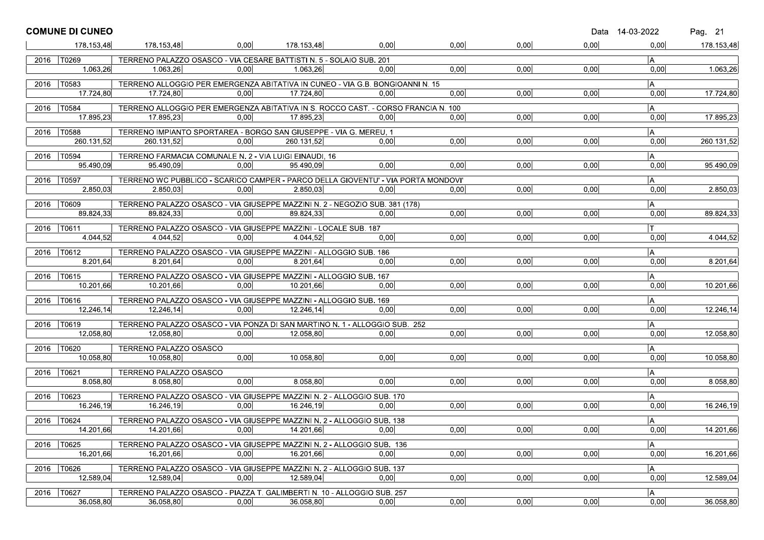|      | <b>COMUNE DI CUNEO</b>    |                                                                                                |      |            |      |      |      |      | Data 14-03-2022 | Pag. 21    |
|------|---------------------------|------------------------------------------------------------------------------------------------|------|------------|------|------|------|------|-----------------|------------|
|      | 178.153,48                | 178.153,48                                                                                     | 0.00 | 178.153.48 | 0,00 | 0.00 | 0,00 | 0,00 | 0,00            | 178.153,48 |
|      | 2016   T0269              | TERRENO PALAZZO OSASCO - VIA CESARE BATTISTI N. 5 - SOLAIO SUB. 201                            |      |            |      |      |      |      | $\overline{A}$  |            |
|      | 1.063,26                  | 1.063,26                                                                                       | 0.00 | 1.063,26   | 0.00 | 0,00 | 0,00 | 0,00 | 0,00            | 1.063,26   |
|      | 2016   T0583              | TERRENO ALLOGGIO PER EMERGENZA ABITATIVA IN CUNEO - VIA G.B. BONGIOANNI N. 15                  |      |            |      |      |      |      | A               |            |
|      | 17.724.80                 | 17.724,80                                                                                      | 0.00 | 17.724,80  | 0.00 | 0.00 | 0.00 | 0.00 | 0.00            | 17.724,80  |
|      |                           |                                                                                                |      |            |      |      |      |      |                 |            |
|      | 2016   T0584<br>17.895,23 | TERRENO ALLOGGIO PER EMERGENZA ABITATIVA IN S. ROCCO CAST. - CORSO FRANCIA N. 100<br>17.895,23 | 0,00 | 17.895,23  | 0,00 | 0,00 | 0,00 | 0,00 | A<br>0,00       | 17.895,23  |
|      |                           |                                                                                                |      |            |      |      |      |      |                 |            |
|      | 2016   T0588              | TERRENO IMPIANTO SPORTAREA - BORGO SAN GIUSEPPE - VIA G. MEREU. 1                              |      |            |      |      |      |      | $\mathsf{A}$    |            |
|      | 260.131.52                | 260.131,52                                                                                     | 0.00 | 260.131,52 | 0.00 | 0,00 | 0,00 | 0,00 | 0,00            | 260.131,52 |
| 2016 | $\overline{10594}$        | TERRENO FARMACIA COMUNALE N. 2 - VIA LUIGI EINAUDI, 16                                         |      |            |      |      |      |      | ۱A              |            |
|      | 95.490.09                 | 95.490,09                                                                                      | 0.00 | 95.490.09  | 0.00 | 0.00 | 0.00 | 0.00 | 0,00            | 95.490,09  |
|      | 2016   T0597              | TERRENO WC PUBBLICO - SCARICO CAMPER - PARCO DELLA GIOVENTU' - VIA PORTA MONDOVI'              |      |            |      |      |      |      | A               |            |
|      | 2.850,03                  | 2.850,03                                                                                       | 0,00 | 2.850.03   | 0,00 | 0,00 | 0,00 | 0,00 | 0,00            | 2.850,03   |
| 2016 | T0609                     | TERRENO PALAZZO OSASCO - VIA GIUSEPPE MAZZINI N. 2 - NEGOZIO SUB. 381 (178)                    |      |            |      |      |      |      | A               |            |
|      | 89.824,33                 | 89.824,33                                                                                      | 0.00 | 89.824,33  | 0.00 | 0,00 | 0,00 | 0,00 | 0,00            | 89.824,33  |
|      |                           |                                                                                                |      |            |      |      |      |      |                 |            |
|      | 2016   T0611<br>4.044,52  | TERRENO PALAZZO OSASCO - VIA GIUSEPPE MAZZINI - LOCALE SUB. 187<br>4.044.52                    | 0.00 | 4.044.52   | 0.00 | 0.00 | 0.00 | 0.00 | $\mathsf{T}$    |            |
|      |                           |                                                                                                |      |            |      |      |      |      | 0.00            | 4.044,52   |
|      | 2016   T0612              | TERRENO PALAZZO OSASCO - VIA GIUSEPPE MAZZINI - ALLOGGIO SUB. 186                              |      |            |      |      |      |      | A               |            |
|      | 8.201.64                  | 8.201,64                                                                                       | 0.00 | 8.201,64   | 0.00 | 0,00 | 0,00 | 0,00 | 0,00            | 8.201,64   |
| 2016 | T0615                     | TERRENO PALAZZO OSASCO - VIA GIUSEPPE MAZZINI - ALLOGGIO SUB. 167                              |      |            |      |      |      |      | IA.             |            |
|      | 10.201,66                 | 10.201,66                                                                                      | 0.00 | 10.201,66  | 0.00 | 0,00 | 0,00 | 0.00 | 0,00            | 10.201,66  |
|      | 2016   T0616              | TERRENO PALAZZO OSASCO - VIA GIUSEPPE MAZZINI - ALLOGGIO SUB. 169                              |      |            |      |      |      |      | A               |            |
|      | 12.246,14                 | 12.246,14                                                                                      | 0.00 | 12.246.14  | 0,00 | 0,00 | 0.00 | 0,00 | 0,00            | 12.246,14  |
| 2016 | T0619                     | TERRENO PALAZZO OSASCO - VIA PONZA DI SAN MARTINO N. 1 - ALLOGGIO SUB. 252                     |      |            |      |      |      |      | A               |            |
|      | 12.058,80                 | 12.058,80                                                                                      | 0.00 | 12.058,80  | 0.00 | 0,00 | 0,00 | 0,00 | 0,00            | 12.058,80  |
|      |                           |                                                                                                |      |            |      |      |      |      |                 |            |
|      | 2016   T0620<br>10.058,80 | TERRENO PALAZZO OSASCO<br>10.058.80                                                            | 0,00 | 10.058,80  | 0.00 | 0,00 | 0,00 | 0,00 | A <br>0,00      | 10.058,80  |
|      |                           |                                                                                                |      |            |      |      |      |      |                 |            |
| 2016 | T0621                     | TERRENO PALAZZO OSASCO                                                                         |      |            |      |      |      |      | A               |            |
|      | 8.058.80                  | 8.058,80                                                                                       | 0.00 | 8.058.80   | 0.00 | 0.00 | 0.00 | 0.00 | 0,00            | 8.058,80   |
|      | 2016   T0623              | TERRENO PALAZZO OSASCO - VIA GIUSEPPE MAZZINI N. 2 - ALLOGGIO SUB. 170                         |      |            |      |      |      |      | A               |            |
|      | 16.246,19                 | 16.246,19                                                                                      | 0,00 | 16.246.19  | 0,00 | 0,00 | 0,00 | 0,00 | 0,00            | 16.246,19  |
| 2016 | T0624                     | TERRENO PALAZZO OSASCO - VIA GIUSEPPE MAZZINI N. 2 - ALLOGGIO SUB. 138                         |      |            |      |      |      |      | A               |            |
|      | 14.201.66                 | 14.201.66                                                                                      | 0.00 | 14.201.66  | 0,00 | 0,00 | 0,00 | 0,00 | 0,00            | 14.201,66  |
|      | T0625                     | TERRENO PALAZZO OSASCO - VIA GIUSEPPE MAZZINI N. 2 - ALLOGGIO SUB. 136                         |      |            |      |      |      |      | A               |            |
| 2016 | 16.201.66                 | 16.201,66                                                                                      | 0,00 | 16.201.66  | 0.00 | 0,00 | 0,00 | 0,00 | 0,00            | 16.201,66  |
|      |                           |                                                                                                |      |            |      |      |      |      |                 |            |
| 2016 | T0626                     | TERRENO PALAZZO OSASCO - VIA GIUSEPPE MAZZINI N. 2 - ALLOGGIO SUB. 137                         |      |            |      |      |      |      | A               |            |
|      | 12.589,04                 | 12.589,04                                                                                      | 0,00 | 12.589,04  | 0,00 | 0,00 | 0,00 | 0,00 | 0,00            | 12.589,04  |
| 2016 | T0627                     | TERRENO PALAZZO OSASCO - PIAZZA T. GALIMBERTI N. 10 - ALLOGGIO SUB. 257                        |      |            |      |      |      |      | A               |            |
|      | 36.058,80                 | 36.058,80                                                                                      | 0.00 | 36.058,80  | 0,00 | 0,00 | 0,00 | 0,00 | 0,00            | 36.058.80  |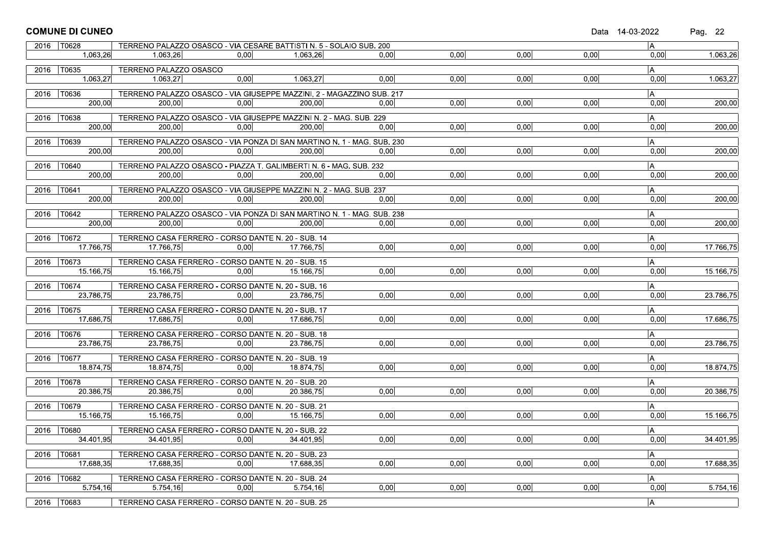|      | <b>COMUNE DI CUNEO</b>    |                                                                                  |      |           |      |                   |      |      | Data 14-03-2022 | Pag. 22   |
|------|---------------------------|----------------------------------------------------------------------------------|------|-----------|------|-------------------|------|------|-----------------|-----------|
|      | 2016   T0628              | TERRENO PALAZZO OSASCO - VIA CESARE BATTISTI N. 5 - SOLAIO SUB. 200              |      |           |      |                   |      |      | A               |           |
|      | 1.063,26                  | 1.063,26                                                                         | 0.00 | 1.063.26  | 0.00 | 0,00              | 0,00 | 0,00 | 0,00            | 1.063,26  |
|      | 2016   T0635              | TERRENO PALAZZO OSASCO                                                           |      |           |      |                   |      |      | A.              |           |
|      | 1.063,27                  | 1.063,27                                                                         | 0,00 | 1.063,27  | 0.00 | 0,00              | 0,00 | 0,00 | 0,00            | 1.063,27  |
|      | 2016   T0636              | TERRENO PALAZZO OSASCO - VIA GIUSEPPE MAZZINI, 2 - MAGAZZINO SUB. 217            |      |           |      |                   |      |      | $\overline{A}$  |           |
|      | 200.00                    | 200,00                                                                           | 0.00 | 200,00    | 0,00 | 0,00              | 0,00 | 0,00 | 0,00            | 200,00    |
|      | 2016   T0638              | TERRENO PALAZZO OSASCO - VIA GIUSEPPE MAZZINI N. 2 - MAG. SUB. 229               |      |           |      |                   |      |      | A               |           |
|      | 200.00                    | 200.00                                                                           | 0.00 | 200.00    | 0.00 | 0,00              | 0,00 | 0,00 | 0,00            | 200,00    |
|      |                           |                                                                                  |      |           |      |                   |      |      |                 |           |
|      | 2016   T0639<br>200,00    | TERRENO PALAZZO OSASCO - VIA PONZA DI SAN MARTINO N. 1 - MAG. SUB. 230<br>200.00 |      |           |      | 0,00              |      |      | $\overline{A}$  |           |
|      |                           |                                                                                  | 0,00 | 200,00    | 0.00 |                   | 0,00 | 0,00 | 0,00            | 200,00    |
| 2016 | T0640                     | TERRENO PALAZZO OSASCO - PIAZZA T. GALIMBERTI N. 6 - MAG. SUB. 232               |      |           |      |                   |      |      | A               |           |
|      | 200,00                    | 200,00                                                                           | 0,00 | 200,00    | 0,00 | 0,00              | 0,00 | 0,00 | 0,00            | 200,00    |
|      | 2016   T0641              | TERRENO PALAZZO OSASCO - VIA GIUSEPPE MAZZINI N. 2 - MAG. SUB. 237               |      |           |      |                   |      |      | A               |           |
|      | 200,00                    | 200.00                                                                           | 0,00 | 200.00    | 0.00 | 0,00              | 0.00 | 0,00 | 0,00            | 200,00    |
|      | 2016 T0642                | TERRENO PALAZZO OSASCO - VIA PONZA DI SAN MARTINO N. 1 - MAG. SUB. 238           |      |           |      |                   |      |      | $\overline{A}$  |           |
|      | 200,00                    | 200,00                                                                           | 0.00 | 200,00    | 0,00 | 0,00              | 0.00 | 0,00 | 0,00            | 200,00    |
|      | 2016   T0672              | TERRENO CASA FERRERO - CORSO DANTE N. 20 - SUB. 14                               |      |           |      |                   |      |      | A               |           |
|      | 17.766,75                 | 17.766,75                                                                        | 0,00 | 17.766,75 | 0,00 | 0,00              | 0,00 | 0,00 | 0,00            | 17.766,75 |
|      |                           |                                                                                  |      |           |      |                   |      |      |                 |           |
|      | 2016   T0673<br>15.166,75 | TERRENO CASA FERRERO - CORSO DANTE N. 20 - SUB. 15<br>15.166,75                  | 0,00 |           | 0,00 | 0,00              | 0,00 | 0,00 | A  <br>0,00     | 15.166,75 |
|      |                           |                                                                                  |      | 15.166,75 |      |                   |      |      |                 |           |
|      | 2016   T0674              | TERRENO CASA FERRERO - CORSO DANTE N. 20 - SUB. 16                               |      |           |      |                   |      |      | $\overline{A}$  |           |
|      | 23.786,75                 | 23.786,75                                                                        | 0.00 | 23.786,75 | 0,00 | 0,00              | 0,00 | 0,00 | 0,00            | 23.786,75 |
|      | 2016   T0675              | TERRENO CASA FERRERO - CORSO DANTE N. 20 - SUB. 17                               |      |           |      |                   |      |      | $\overline{A}$  |           |
|      | 17.686.75                 | 17.686.75                                                                        | 0.00 | 17.686.75 | 0,00 | $\overline{0,00}$ | 0,00 | 0,00 | 0,00            | 17.686,75 |
|      | 2016   T0676              | TERRENO CASA FERRERO - CORSO DANTE N. 20 - SUB. 18                               |      |           |      |                   |      |      | A               |           |
|      | 23.786,75                 | 23.786,75                                                                        | 0.00 | 23.786.75 | 0,00 | 0.00              | 0.00 | 0,00 | 0.00            | 23.786,75 |
|      | 2016   T0677              | TERRENO CASA FERRERO - CORSO DANTE N. 20 - SUB. 19                               |      |           |      |                   |      |      | A               |           |
|      | 18.874,75                 | 18.874,75                                                                        | 0,00 | 18.874,75 | 0,00 | 0,00              | 0,00 | 0,00 | 0,00            | 18.874,75 |
|      |                           |                                                                                  |      |           |      |                   |      |      |                 |           |
|      | 2016   T0678<br>20.386,75 | TERRENO CASA FERRERO - CORSO DANTE N. 20 - SUB. 20<br>20.386,75                  | 0,00 | 20.386,75 | 0,00 | 0,00              | 0,00 | 0,00 | A.<br>0,00      | 20.386,75 |
|      |                           |                                                                                  |      |           |      |                   |      |      |                 |           |
|      | 2016   T0679              | TERRENO CASA FERRERO - CORSO DANTE N. 20 - SUB. 21                               |      |           |      |                   |      |      | $\overline{A}$  |           |
|      | 15.166,75                 | 15.166,75                                                                        | 0.00 | 15.166.75 | 0.00 | 0,00              | 0.00 | 0,00 | 0,00            | 15.166,75 |
|      | 2016   T0680              | TERRENO CASA FERRERO - CORSO DANTE N. 20 - SUB. 22                               |      |           |      |                   |      |      | $\overline{A}$  |           |
|      | 34.401,95                 | 34.401,95                                                                        | 0,00 | 34.401.95 | 0,00 | 0,00              | 0,00 | 0,00 | 0,00            | 34.401,95 |
| 2016 | T0681                     | TERRENO CASA FERRERO - CORSO DANTE N. 20 - SUB. 23                               |      |           |      |                   |      |      | A.              |           |
|      | 17.688,35                 | 17.688,35                                                                        | 0,00 | 17.688,35 | 0,00 | 0,00              | 0,00 | 0,00 | 0,00            | 17.688,35 |
|      | 2016   T0682              | TERRENO CASA FERRERO - CORSO DANTE N. 20 - SUB. 24                               |      |           |      |                   |      |      | A               |           |
|      | 5.754,16                  | 5.754,16                                                                         | 0,00 | 5.754,16  | 0,00 | 0,00              | 0,00 | 0,00 | 0,00            | 5.754,16  |
|      |                           |                                                                                  |      |           |      |                   |      |      |                 |           |
| 2016 | T0683                     | TERRENO CASA FERRERO - CORSO DANTE N. 20 - SUB. 25                               |      |           |      |                   |      |      | A               |           |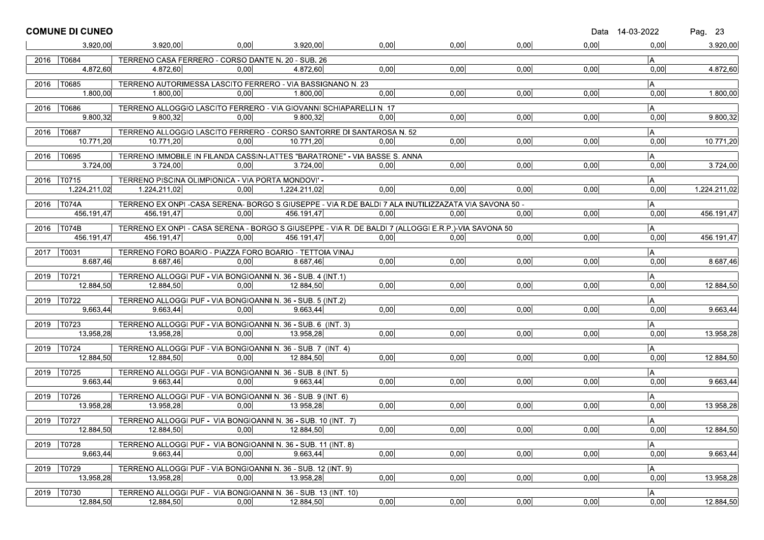|      | <b>COMUNE DI CUNEO</b>     |                                                                                                                   |       |              |       |      |      |      | Data 14-03-2022 | Pag. 23      |
|------|----------------------------|-------------------------------------------------------------------------------------------------------------------|-------|--------------|-------|------|------|------|-----------------|--------------|
|      | 3.920,00                   | 3.920,00                                                                                                          | 0.00  | 3.920.00     | 0,00  | 0,00 | 0,00 | 0,00 | 0,00            | 3.920,00     |
| 2016 | T0684                      | TERRENO CASA FERRERO - CORSO DANTE N. 20 - SUB. 26                                                                |       |              |       |      |      |      | l A             |              |
|      | 4.872.60                   | 4.872,60                                                                                                          | 0.00  | 4.872,60     | 0.00  | 0,00 | 0,00 | 0,00 | 0.00            | 4.872,60     |
| 2016 | T0685                      | TERRENO AUTORIMESSA LASCITO FERRERO - VIA BASSIGNANO N. 23                                                        |       |              |       |      |      |      | A               |              |
|      | 1.800,00                   | 1.800,00                                                                                                          | 0.00  | 1.800,00     | 0.00  | 0,00 | 0,00 | 0,00 | 0,00            | 1.800,00     |
| 2016 | T0686                      | TERRENO ALLOGGIO LASCITO FERRERO - VIA GIOVANNI SCHIAPARELLI N. 17                                                |       |              |       |      |      |      | A               |              |
|      | 9.800,32                   | 9.800,32                                                                                                          | 0.00  | 9.800.32     | 0.00  | 0,00 | 0,00 | 0,00 | 0,00            | 9.800,32     |
| 2016 | T0687                      | TERRENO ALLOGGIO LASCITO FERRERO - CORSO SANTORRE DI SANTAROSA N. 52                                              |       |              |       |      |      |      | $\overline{A}$  |              |
|      | 10.771.20                  | 10.771.20                                                                                                         | 0.001 | 10.771.20    | 0.001 | 0.00 | 0.00 | 0,00 | 0,00            | 10.771,20    |
| 2016 | T0695                      | TERRENO IMMOBILE IN FILANDA CASSIN-LATTES "BARATRONE" - VIA BASSE S. ANNA                                         |       |              |       |      |      |      | A               |              |
|      | 3.724,00                   | 3.724,00                                                                                                          | 0.00  | 3.724,00     | 0.00  | 0.00 | 0.00 | 0,00 | 0,00            | 3.724,00     |
|      | 2016   T0715               | TERRENO PISCINA OLIMPIONICA - VIA PORTA MONDOVI' -                                                                |       |              |       |      |      |      | A               |              |
|      | 1.224.211,02               | 1.224.211,02                                                                                                      | 0,00  | 1.224.211,02 | 0,00  | 0,00 | 0.00 | 0,00 | 0,00            | 1.224.211,02 |
| 2016 | <b>T074A</b>               | TERRENO EX ONPI - CASA SERENA- BORGO S.GIUSEPPE - VIA R.DE BALDI 7 ALA INUTILIZZAZATA VIA SAVONA 50 -             |       |              |       |      |      |      | A               |              |
|      | 456.191.47                 | 456.191,47                                                                                                        | 0.00  | 456.191.47   | 0.00  | 0.00 | 0.00 | 0,00 | 0,00            | 456.191,47   |
|      |                            |                                                                                                                   |       |              |       |      |      |      |                 |              |
|      | 2016   T074B<br>456.191.47 | TERRENO EX ONPI - CASA SERENA - BORGO S.GIUSEPPE - VIA R. DE BALDI 7 (ALLOGGI E.R.P.)-VIA SAVONA 50<br>456.191.47 | 0.00  | 456.191.47   | 0.00  | 0.00 | 0,00 | 0,00 | A<br>0,00       | 456.191,47   |
|      |                            |                                                                                                                   |       |              |       |      |      |      |                 |              |
| 2017 | T0031<br>8.687.46          | TERRENO FORO BOARIO - PIAZZA FORO BOARIO - TETTOIA VINAJ<br>8.687,46                                              | 0.00  | 8.687.46     | 0,00  | 0,00 | 0,00 | 0,00 | A<br>0,00       | 8.687,46     |
|      |                            |                                                                                                                   |       |              |       |      |      |      |                 |              |
|      | 2019   T0721<br>12.884,50  | TERRENO ALLOGGI PUF - VIA BONGIOANNI N. 36 - SUB. 4 (INT.1)<br>12.884,50                                          | 0.00  | 12.884,50    | 0.00  | 0.00 | 0.00 | 0,00 | IA.<br>0.00     | 12.884,50    |
|      |                            |                                                                                                                   |       |              |       |      |      |      |                 |              |
|      | 2019   T0722<br>9.663,44   | TERRENO ALLOGGI PUF - VIA BONGIOANNI N. 36 - SUB. 5 (INT.2)<br>9.663,44                                           | 0,00  | 9.663.44     | 0,00  | 0.00 | 0.00 | 0,00 | A<br>0,00       | 9.663,44     |
|      |                            |                                                                                                                   |       |              |       |      |      |      |                 |              |
| 2019 | T0723                      | TERRENO ALLOGGI PUF - VIA BONGIOANNI N. 36 - SUB. 6 (INT. 3)                                                      |       |              |       |      |      |      | A               |              |
|      | 13.958,28                  | 13.958,28                                                                                                         | 0.00  | 13.958,28    | 0,00  | 0,00 | 0,00 | 0,00 | 0,00            | 13.958,28    |
|      | 2019   T0724               | TERRENO ALLOGGI PUF - VIA BONGIOANNI N. 36 - SUB. 7 (INT. 4)                                                      |       |              |       |      |      |      | A               |              |
|      | 12.884,50                  | 12.884.50                                                                                                         | 0.00  | 12.884,50    | 0.00  | 0.00 | 0.00 | 0.00 | 0.00            | 12.884,50    |
| 2019 | T0725                      | TERRENO ALLOGGI PUF - VIA BONGIOANNI N. 36 - SUB. 8 (INT. 5)                                                      |       |              |       |      |      |      | A               |              |
|      | 9.663,44                   | 9.663,44                                                                                                          | 0.00  | 9.663,44     | 0,00  | 0,00 | 0,00 | 0,00 | 0,00            | 9.663,44     |
|      | 2019   T0726               | TERRENO ALLOGGI PUF - VIA BONGIOANNI N. 36 - SUB. 9 (INT. 6)                                                      |       |              |       |      |      |      | $\overline{A}$  |              |
|      | 13.958,28                  | 13.958,28                                                                                                         | 0.00  | 13.958,28    | 0,00  | 0,00 | 0,00 | 0,00 | 0,00            | 13.958,28    |
|      | 2019   T0727               | TERRENO ALLOGGI PUF - VIA BONGIOANNI N. 36 - SUB. 10 (INT. 7)                                                     |       |              |       |      |      |      | A               |              |
|      | 12.884.50                  | $\overline{12.884,50}$                                                                                            | 0.00  | 12.884,50    | 0.00  | 0.00 | 0.00 | 0,00 | 0.00            | 12.884,50    |
|      | 2019   T0728               | TERRENO ALLOGGI PUF - VIA BONGIOANNI N. 36 - SUB. 11 (INT. 8)                                                     |       |              |       |      |      |      | A               |              |
|      | 9.663,44                   | 9.663.44                                                                                                          | 0,00  | 9.663,44     | 0,00  | 0,00 | 0,00 | 0,00 | 0,00            | 9.663,44     |
|      | 2019   T0729               | TERRENO ALLOGGI PUF - VIA BONGIOANNI N. 36 - SUB. 12 (INT. 9)                                                     |       |              |       |      |      |      | A               |              |
|      | 13.958,28                  | 13.958,28                                                                                                         | 0,00  | 13.958,28    | 0,00  | 0,00 | 0,00 | 0,00 | 0,00            | 13.958,28    |
| 2019 | T0730                      | TERRENO ALLOGGI PUF - VIA BONGIOANNI N. 36 - SUB. 13 (INT. 10)                                                    |       |              |       |      |      |      | A               |              |
|      | 12.884,50                  | 12.884,50                                                                                                         | 0,00  | 12.884,50    | 0,00  | 0,00 | 0,00 | 0,00 | 0,00            | 12.884,50    |